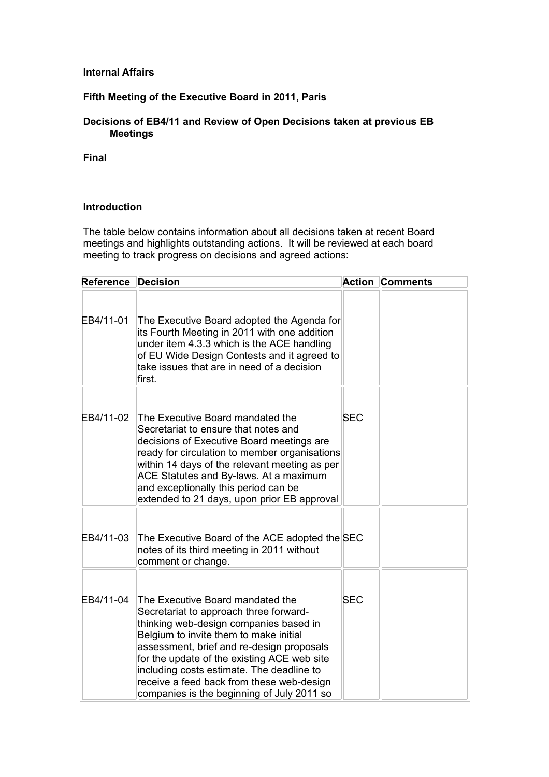### **Internal Affairs**

## **Fifth Meeting of the Executive Board in 2011, Paris**

# **Decisions of EB4/11 and Review of Open Decisions taken at previous EB Meetings**

**Final**

#### **Introduction**

The table below contains information about all decisions taken at recent Board meetings and highlights outstanding actions. It will be reviewed at each board meeting to track progress on decisions and agreed actions:

| <b>Reference Decision</b> |                                                                                                                                                                                                                                                                                                                                                                                                    |            | <b>Action Comments</b> |
|---------------------------|----------------------------------------------------------------------------------------------------------------------------------------------------------------------------------------------------------------------------------------------------------------------------------------------------------------------------------------------------------------------------------------------------|------------|------------------------|
| EB4/11-01                 | The Executive Board adopted the Agenda for<br>its Fourth Meeting in 2011 with one addition<br>under item 4.3.3 which is the ACE handling<br>of EU Wide Design Contests and it agreed to<br>take issues that are in need of a decision<br>first.                                                                                                                                                    |            |                        |
| EB4/11-02                 | The Executive Board mandated the<br>Secretariat to ensure that notes and<br>decisions of Executive Board meetings are<br>ready for circulation to member organisations<br>within 14 days of the relevant meeting as per<br>ACE Statutes and By-laws. At a maximum<br>and exceptionally this period can be<br>extended to 21 days, upon prior EB approval                                           | <b>SEC</b> |                        |
| EB4/11-03                 | The Executive Board of the ACE adopted the SEC<br>hotes of its third meeting in 2011 without<br>comment or change.                                                                                                                                                                                                                                                                                 |            |                        |
| EB4/11-04                 | The Executive Board mandated the<br>Secretariat to approach three forward-<br>thinking web-design companies based in<br>Belgium to invite them to make initial<br>assessment, brief and re-design proposals<br>for the update of the existing ACE web site<br>including costs estimate. The deadline to<br>receive a feed back from these web-design<br>companies is the beginning of July 2011 so | <b>SEC</b> |                        |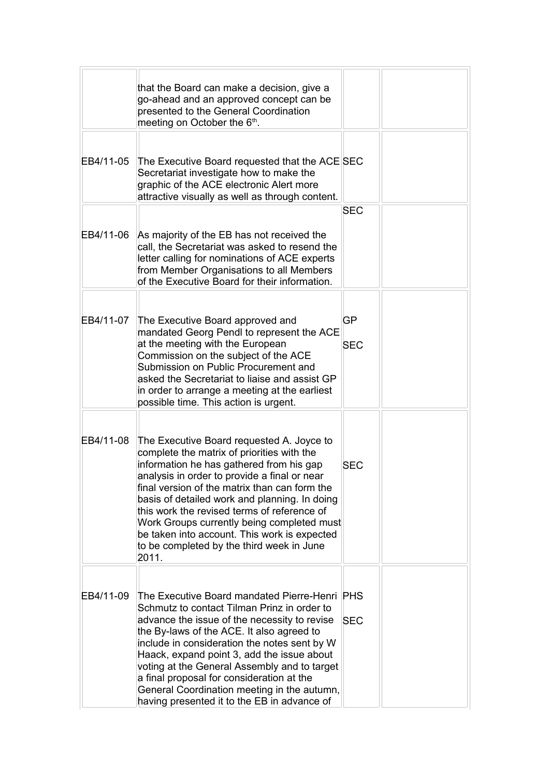|           | that the Board can make a decision, give a<br>go-ahead and an approved concept can be<br>presented to the General Coordination<br>meeting on October the 6 <sup>th</sup> .                                                                                                                                                                                                                                                                                                               |                  |  |
|-----------|------------------------------------------------------------------------------------------------------------------------------------------------------------------------------------------------------------------------------------------------------------------------------------------------------------------------------------------------------------------------------------------------------------------------------------------------------------------------------------------|------------------|--|
| EB4/11-05 | The Executive Board requested that the ACE SEC<br>Secretariat investigate how to make the<br>graphic of the ACE electronic Alert more<br>attractive visually as well as through content.                                                                                                                                                                                                                                                                                                 |                  |  |
| EB4/11-06 | As majority of the EB has not received the                                                                                                                                                                                                                                                                                                                                                                                                                                               | <b>SEC</b>       |  |
|           | call, the Secretariat was asked to resend the<br>letter calling for nominations of ACE experts<br>from Member Organisations to all Members<br>of the Executive Board for their information.                                                                                                                                                                                                                                                                                              |                  |  |
| EB4/11-07 | The Executive Board approved and<br>mandated Georg Pendl to represent the ACE<br>at the meeting with the European<br>Commission on the subject of the ACE<br>Submission on Public Procurement and<br>asked the Secretariat to liaise and assist GP<br>in order to arrange a meeting at the earliest<br>possible time. This action is urgent.                                                                                                                                             | GP<br><b>SEC</b> |  |
| EB4/11-08 | The Executive Board requested A. Joyce to<br>complete the matrix of priorities with the<br>information he has gathered from his gap<br>analysis in order to provide a final or near<br>final version of the matrix than can form the<br>basis of detailed work and planning. In doing<br>this work the revised terms of reference of<br>Work Groups currently being completed must<br>be taken into account. This work is expected<br>to be completed by the third week in June<br>2011. | <b>SEC</b>       |  |
| EB4/11-09 | The Executive Board mandated Pierre-Henri PHS<br>Schmutz to contact Tilman Prinz in order to<br>advance the issue of the necessity to revise<br>the By-laws of the ACE. It also agreed to<br>include in consideration the notes sent by W<br>Haack, expand point 3, add the issue about<br>voting at the General Assembly and to target<br>a final proposal for consideration at the<br>General Coordination meeting in the autumn,<br>having presented it to the EB in advance of       | <b>SEC</b>       |  |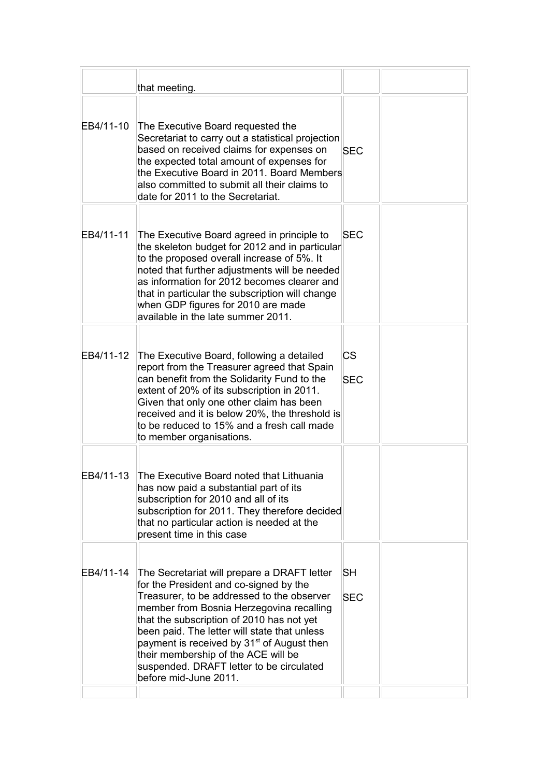|           | that meeting.                                                                                                                                                                                                                                                                                                                                                                                                                                      |                         |  |
|-----------|----------------------------------------------------------------------------------------------------------------------------------------------------------------------------------------------------------------------------------------------------------------------------------------------------------------------------------------------------------------------------------------------------------------------------------------------------|-------------------------|--|
| EB4/11-10 | The Executive Board requested the<br>Secretariat to carry out a statistical projection<br>based on received claims for expenses on<br>the expected total amount of expenses for<br>the Executive Board in 2011. Board Members<br>also committed to submit all their claims to<br>date for 2011 to the Secretariat.                                                                                                                                 | <b>SEC</b>              |  |
| EB4/11-11 | The Executive Board agreed in principle to<br>the skeleton budget for 2012 and in particular<br>to the proposed overall increase of 5%. It<br>noted that further adjustments will be needed<br>as information for 2012 becomes clearer and<br>that in particular the subscription will change<br>when GDP figures for 2010 are made<br>available in the late summer 2011.                                                                          | <b>SEC</b>              |  |
| EB4/11-12 | The Executive Board, following a detailed<br>report from the Treasurer agreed that Spain<br>can benefit from the Solidarity Fund to the<br>extent of 20% of its subscription in 2011.<br>Given that only one other claim has been<br>received and it is below 20%, the threshold is<br>to be reduced to 15% and a fresh call made<br>to member organisations.                                                                                      | <b>CS</b><br><b>SEC</b> |  |
| EB4/11-13 | The Executive Board noted that Lithuania<br>has now paid a substantial part of its<br>subscription for 2010 and all of its<br>subscription for 2011. They therefore decided<br>that no particular action is needed at the<br>present time in this case                                                                                                                                                                                             |                         |  |
| EB4/11-14 | The Secretariat will prepare a DRAFT letter<br>for the President and co-signed by the<br>Treasurer, to be addressed to the observer<br>member from Bosnia Herzegovina recalling<br>that the subscription of 2010 has not yet<br>been paid. The letter will state that unless<br>payment is received by 31 <sup>st</sup> of August then<br>their membership of the ACE will be<br>suspended. DRAFT letter to be circulated<br>before mid-June 2011. | SН<br><b>SEC</b>        |  |
|           |                                                                                                                                                                                                                                                                                                                                                                                                                                                    |                         |  |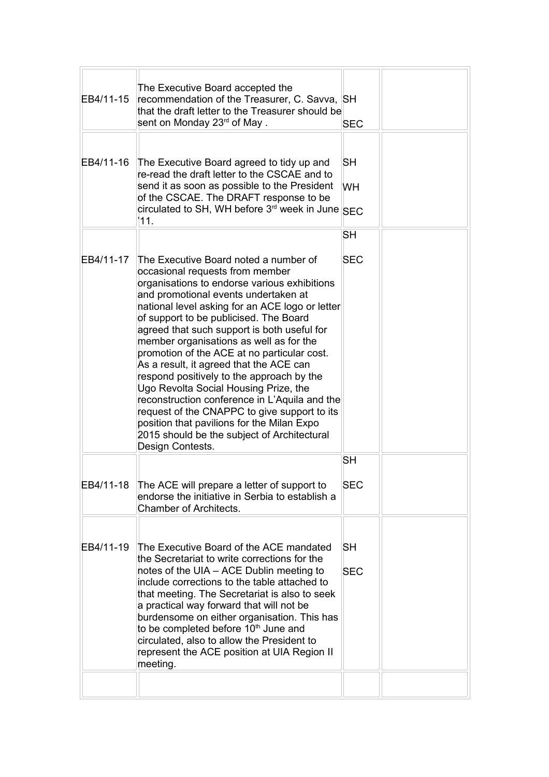| EB4/11-15 | The Executive Board accepted the<br>recommendation of the Treasurer, C. Savva, SH<br>that the draft letter to the Treasurer should be<br>sent on Monday 23 <sup>rd</sup> of May.                                                                                                                                                                                                                                                                                                                                                                                                                                                                                                                                                                          | <b>SEC</b>             |  |
|-----------|-----------------------------------------------------------------------------------------------------------------------------------------------------------------------------------------------------------------------------------------------------------------------------------------------------------------------------------------------------------------------------------------------------------------------------------------------------------------------------------------------------------------------------------------------------------------------------------------------------------------------------------------------------------------------------------------------------------------------------------------------------------|------------------------|--|
| EB4/11-16 | The Executive Board agreed to tidy up and<br>re-read the draft letter to the CSCAE and to<br>send it as soon as possible to the President<br>of the CSCAE. The DRAFT response to be<br>circulated to SH, WH before 3 <sup>rd</sup> week in June SEC<br>111.                                                                                                                                                                                                                                                                                                                                                                                                                                                                                               | <b>SH</b><br><b>WH</b> |  |
|           |                                                                                                                                                                                                                                                                                                                                                                                                                                                                                                                                                                                                                                                                                                                                                           | <b>SH</b>              |  |
| EB4/11-17 | The Executive Board noted a number of<br>occasional requests from member<br>organisations to endorse various exhibitions<br>and promotional events undertaken at<br>national level asking for an ACE logo or letter<br>of support to be publicised. The Board<br>agreed that such support is both useful for<br>member organisations as well as for the<br>promotion of the ACE at no particular cost.<br>As a result, it agreed that the ACE can<br>respond positively to the approach by the<br>Ugo Revolta Social Housing Prize, the<br>reconstruction conference in L'Aquila and the<br>request of the CNAPPC to give support to its<br>position that pavilions for the Milan Expo<br>2015 should be the subject of Architectural<br>Design Contests. | <b>SEC</b>             |  |
|           |                                                                                                                                                                                                                                                                                                                                                                                                                                                                                                                                                                                                                                                                                                                                                           | <b>SH</b>              |  |
| EB4/11-18 | The ACE will prepare a letter of support to<br>endorse the initiative in Serbia to establish a<br>Chamber of Architects.                                                                                                                                                                                                                                                                                                                                                                                                                                                                                                                                                                                                                                  | <b>SEC</b>             |  |
| EB4/11-19 | The Executive Board of the ACE mandated<br>the Secretariat to write corrections for the<br>notes of the UIA - ACE Dublin meeting to<br>include corrections to the table attached to<br>that meeting. The Secretariat is also to seek<br>a practical way forward that will not be<br>burdensome on either organisation. This has<br>to be completed before 10 <sup>th</sup> June and<br>circulated, also to allow the President to<br>represent the ACE position at UIA Region II<br>meeting.                                                                                                                                                                                                                                                              | SН<br><b>SEC</b>       |  |
|           |                                                                                                                                                                                                                                                                                                                                                                                                                                                                                                                                                                                                                                                                                                                                                           |                        |  |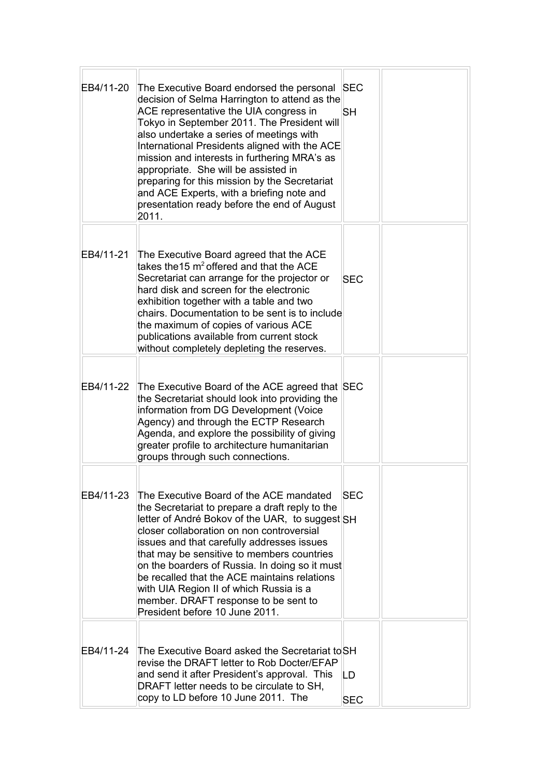| EB4/11-20 | The Executive Board endorsed the personal SEC<br>decision of Selma Harrington to attend as the<br>ACE representative the UIA congress in<br>Tokyo in September 2011. The President will<br>also undertake a series of meetings with<br>International Presidents aligned with the ACE<br>mission and interests in furthering MRA's as<br>appropriate. She will be assisted in<br>preparing for this mission by the Secretariat<br>and ACE Experts, with a briefing note and<br>presentation ready before the end of August<br>2011. | <b>SH</b>        |  |
|-----------|------------------------------------------------------------------------------------------------------------------------------------------------------------------------------------------------------------------------------------------------------------------------------------------------------------------------------------------------------------------------------------------------------------------------------------------------------------------------------------------------------------------------------------|------------------|--|
| EB4/11-21 | The Executive Board agreed that the ACE<br>takes the 15 m <sup>2</sup> offered and that the ACE<br>Secretariat can arrange for the projector or<br>hard disk and screen for the electronic<br>exhibition together with a table and two<br>chairs. Documentation to be sent is to include<br>the maximum of copies of various ACE<br>publications available from current stock<br>without completely depleting the reserves.                                                                                                        | <b>SEC</b>       |  |
| EB4/11-22 | The Executive Board of the ACE agreed that SEC<br>the Secretariat should look into providing the<br>information from DG Development (Voice<br>Agency) and through the ECTP Research<br>Agenda, and explore the possibility of giving<br>greater profile to architecture humanitarian<br>groups through such connections.                                                                                                                                                                                                           |                  |  |
| EB4/11-23 | The Executive Board of the ACE mandated<br>the Secretariat to prepare a draft reply to the<br>letter of André Bokov of the UAR, to suggest SH<br>closer collaboration on non controversial<br>issues and that carefully addresses issues<br>that may be sensitive to members countries<br>on the boarders of Russia. In doing so it must<br>be recalled that the ACE maintains relations<br>with UIA Region II of which Russia is a<br>member. DRAFT response to be sent to<br>President before 10 June 2011.                      | <b>SEC</b>       |  |
| EB4/11-24 | The Executive Board asked the Secretariat to SH<br>revise the DRAFT letter to Rob Docter/EFAP<br>and send it after President's approval. This<br>DRAFT letter needs to be circulate to SH,<br>copy to LD before 10 June 2011. The                                                                                                                                                                                                                                                                                                  | LD<br><b>SEC</b> |  |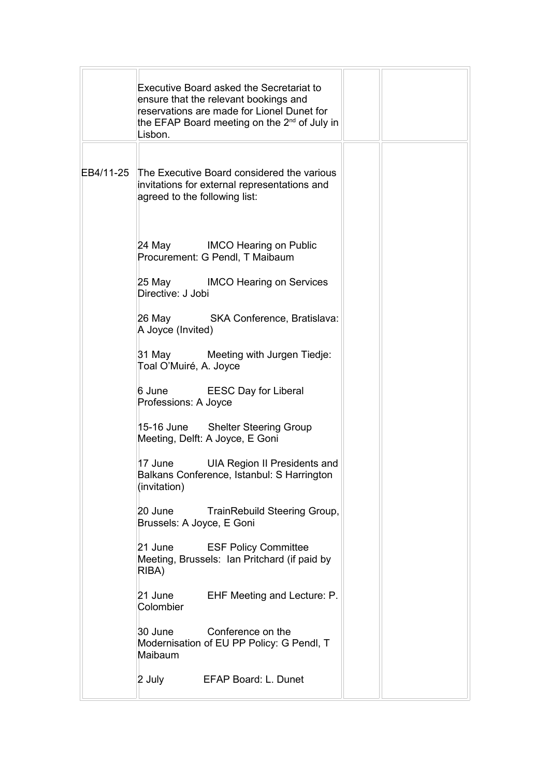| Executive Board asked the Secretariat to<br>ensure that the relevant bookings and<br>reservations are made for Lionel Dunet for<br>the EFAP Board meeting on the 2 <sup>nd</sup> of July in<br>Lisbon. |
|--------------------------------------------------------------------------------------------------------------------------------------------------------------------------------------------------------|
| EB4/11-25 The Executive Board considered the various<br>invitations for external representations and<br>agreed to the following list:                                                                  |
| 24 May IMCO Hearing on Public<br>Procurement: G Pendl, T Maibaum                                                                                                                                       |
| 25 May IMCO Hearing on Services<br>Directive: J Jobi                                                                                                                                                   |
| 26 May SKA Conference, Bratislava:<br>A Joyce (Invited)                                                                                                                                                |
| 31 May Meeting with Jurgen Tiedje:<br>Toal O'Muiré, A. Joyce                                                                                                                                           |
| 6 June EESC Day for Liberal<br>Professions: A Joyce                                                                                                                                                    |
| 15-16 June Shelter Steering Group<br>Meeting, Delft: A Joyce, E Goni                                                                                                                                   |
| 17 June<br>UIA Region II Presidents and<br>Balkans Conference, Istanbul: S Harrington<br>(invitation)                                                                                                  |
| 20 June<br>TrainRebuild Steering Group,<br>Brussels: A Joyce, E Goni                                                                                                                                   |
| 21 June<br><b>ESF Policy Committee</b><br>Meeting, Brussels: Ian Pritchard (if paid by<br>RIBA)                                                                                                        |
| 21 June EHF Meeting and Lecture: P.<br>Colombier                                                                                                                                                       |
| 30 June<br>Conference on the<br>Modernisation of EU PP Policy: G Pendl, T<br>Maibaum                                                                                                                   |
| EFAP Board: L. Dunet<br>2 July                                                                                                                                                                         |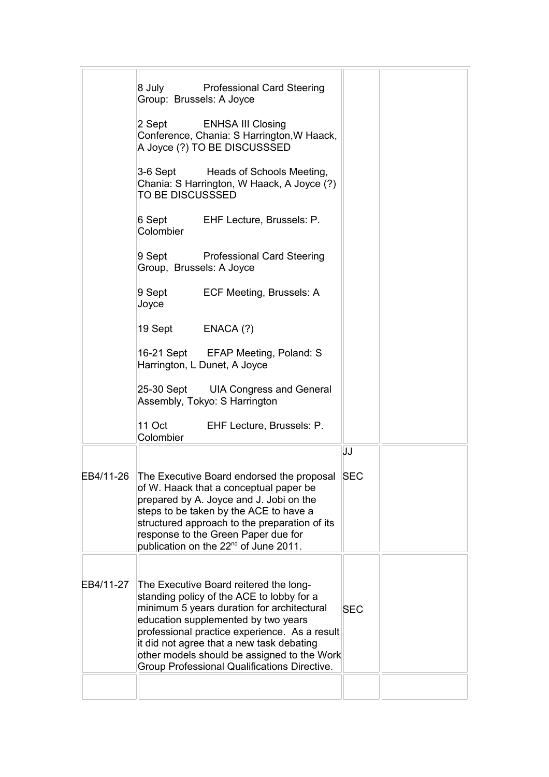|           | 8 July Professional Card Steering<br>Group: Brussels: A Joyce                                                                                                                                                                                                                                                                                                         |            |  |
|-----------|-----------------------------------------------------------------------------------------------------------------------------------------------------------------------------------------------------------------------------------------------------------------------------------------------------------------------------------------------------------------------|------------|--|
|           | 2 Sept<br><b>ENHSA III Closing</b><br>Conference, Chania: S Harrington, W Haack,<br>A Joyce (?) TO BE DISCUSSSED                                                                                                                                                                                                                                                      |            |  |
|           | 3-6 Sept Heads of Schools Meeting,<br>Chania: S Harrington, W Haack, A Joyce (?)<br>TO BE DISCUSSSED                                                                                                                                                                                                                                                                  |            |  |
|           | 6 Sept EHF Lecture, Brussels: P.<br>Colombier                                                                                                                                                                                                                                                                                                                         |            |  |
|           | 9 Sept<br><b>Professional Card Steering</b><br>Group, Brussels: A Joyce                                                                                                                                                                                                                                                                                               |            |  |
|           | 9 Sept ECF Meeting, Brussels: A<br>Joyce                                                                                                                                                                                                                                                                                                                              |            |  |
|           | 19 Sept ENACA (?)                                                                                                                                                                                                                                                                                                                                                     |            |  |
|           | 16-21 Sept EFAP Meeting, Poland: S<br>Harrington, L Dunet, A Joyce                                                                                                                                                                                                                                                                                                    |            |  |
|           | 25-30 Sept UIA Congress and General<br>Assembly, Tokyo: S Harrington                                                                                                                                                                                                                                                                                                  |            |  |
|           | 11 Oct EHF Lecture, Brussels: P.<br>Colombier                                                                                                                                                                                                                                                                                                                         |            |  |
|           |                                                                                                                                                                                                                                                                                                                                                                       | JJ         |  |
|           | EB4/11-26 The Executive Board endorsed the proposal SEC<br>of W. Haack that a conceptual paper be<br>prepared by A. Joyce and J. Jobi on the<br>steps to be taken by the ACE to have a<br>structured approach to the preparation of its<br>response to the Green Paper due for<br>publication on the 22 <sup>nd</sup> of June 2011.                                   |            |  |
| EB4/11-27 | The Executive Board reitered the long-<br>standing policy of the ACE to lobby for a<br>minimum 5 years duration for architectural<br>education supplemented by two years<br>professional practice experience. As a result<br>it did not agree that a new task debating<br>other models should be assigned to the Work<br>Group Professional Qualifications Directive. | <b>SEC</b> |  |
|           |                                                                                                                                                                                                                                                                                                                                                                       |            |  |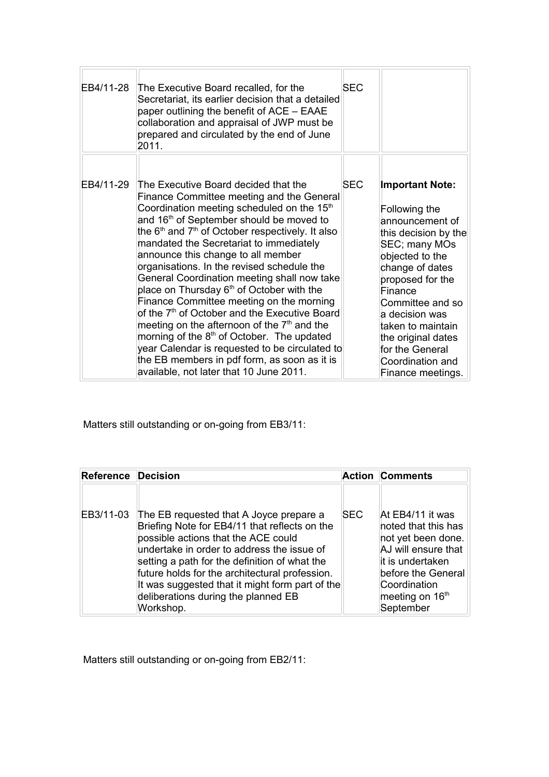| EB4/11-28 | The Executive Board recalled, for the<br>Secretariat, its earlier decision that a detailed<br>paper outlining the benefit of ACE – EAAE<br>collaboration and appraisal of JWP must be<br>prepared and circulated by the end of June<br>2011.                                                                                                                                                                                                                                                                                                                                                                                                                                                                                                                                                                                                                        | <b>SEC</b> |                                                                                                                                                                                                                                                                                                                       |
|-----------|---------------------------------------------------------------------------------------------------------------------------------------------------------------------------------------------------------------------------------------------------------------------------------------------------------------------------------------------------------------------------------------------------------------------------------------------------------------------------------------------------------------------------------------------------------------------------------------------------------------------------------------------------------------------------------------------------------------------------------------------------------------------------------------------------------------------------------------------------------------------|------------|-----------------------------------------------------------------------------------------------------------------------------------------------------------------------------------------------------------------------------------------------------------------------------------------------------------------------|
| EB4/11-29 | The Executive Board decided that the<br>Finance Committee meeting and the General<br>Coordination meeting scheduled on the 15 <sup>th</sup><br>and 16 <sup>th</sup> of September should be moved to<br>the $6th$ and $7th$ of October respectively. It also<br>mandated the Secretariat to immediately<br>announce this change to all member<br>organisations. In the revised schedule the<br>General Coordination meeting shall now take<br>place on Thursday 6 <sup>th</sup> of October with the<br>Finance Committee meeting on the morning<br>of the 7 <sup>th</sup> of October and the Executive Board<br>meeting on the afternoon of the $7th$ and the<br>morning of the 8 <sup>th</sup> of October. The updated<br>year Calendar is requested to be circulated to<br>the EB members in pdf form, as soon as it is<br>available, not later that 10 June 2011. | <b>SEC</b> | <b>Important Note:</b><br>Following the<br>announcement of<br>this decision by the<br>SEC; many MOs<br>objected to the<br>change of dates<br>proposed for the<br>Finance<br>Committee and so<br>a decision was<br>taken to maintain<br>the original dates<br>for the General<br>Coordination and<br>Finance meetings. |

Matters still outstanding or on-going from EB3/11:

| <b>Reference Decision</b> |                                                                                                                                                                                                                                                                                                                                                                            |            | <b>Action Comments</b>                                                                                                                                                        |
|---------------------------|----------------------------------------------------------------------------------------------------------------------------------------------------------------------------------------------------------------------------------------------------------------------------------------------------------------------------------------------------------------------------|------------|-------------------------------------------------------------------------------------------------------------------------------------------------------------------------------|
| EB3/11-03                 | The EB requested that A Joyce prepare a<br>Briefing Note for EB4/11 that reflects on the<br>possible actions that the ACE could<br>undertake in order to address the issue of<br>setting a path for the definition of what the<br>future holds for the architectural profession.<br>It was suggested that it might form part of the<br>deliberations during the planned EB | <b>SEC</b> | At EB4/11 it was<br>noted that this has<br>not yet been done.<br>AJ will ensure that<br>it is undertaken<br>before the General<br>Coordination<br>meeting on 16 <sup>th</sup> |
|                           | Workshop.                                                                                                                                                                                                                                                                                                                                                                  |            | September                                                                                                                                                                     |

Matters still outstanding or on-going from EB2/11: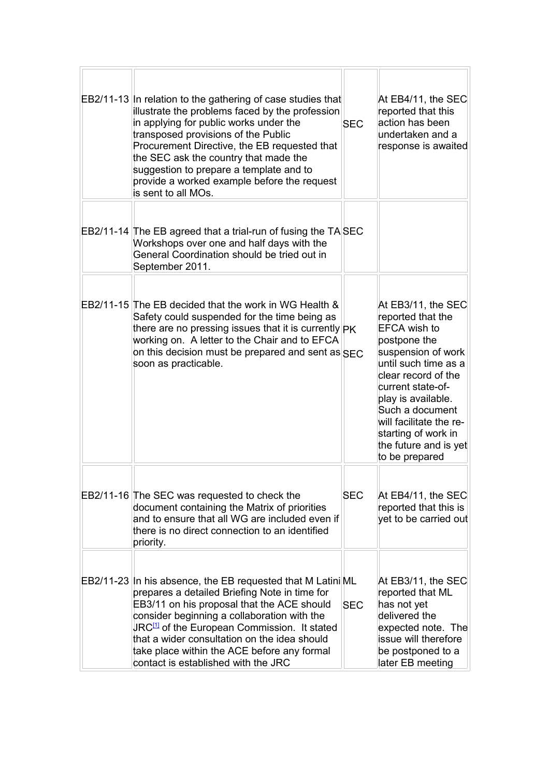| EB2/11-13 In relation to the gathering of case studies that<br>illustrate the problems faced by the profession<br>in applying for public works under the<br>transposed provisions of the Public<br>Procurement Directive, the EB requested that<br>the SEC ask the country that made the<br>suggestion to prepare a template and to<br>provide a worked example before the request<br>is sent to all MOs.   | <b>SEC</b> | At EB4/11, the SEC<br>reported that this<br>action has been<br>undertaken and a<br>response is awaited                                                                                                                                                                                                  |
|-------------------------------------------------------------------------------------------------------------------------------------------------------------------------------------------------------------------------------------------------------------------------------------------------------------------------------------------------------------------------------------------------------------|------------|---------------------------------------------------------------------------------------------------------------------------------------------------------------------------------------------------------------------------------------------------------------------------------------------------------|
| EB2/11-14 The EB agreed that a trial-run of fusing the TASEC<br>Workshops over one and half days with the<br>General Coordination should be tried out in<br>September 2011.                                                                                                                                                                                                                                 |            |                                                                                                                                                                                                                                                                                                         |
| EB2/11-15 The EB decided that the work in WG Health &<br>Safety could suspended for the time being as<br>there are no pressing issues that it is currently PK<br>working on. A letter to the Chair and to EFCA<br>on this decision must be prepared and sent as $SFC$<br>soon as practicable.                                                                                                               |            | At EB3/11, the SEC<br>reported that the<br>EFCA wish to<br>postpone the<br>suspension of work<br>until such time as a<br>clear record of the<br>current state-of-<br>play is available.<br>Such a document<br>will facilitate the re-<br>starting of work in<br>the future and is yet<br>to be prepared |
| EB2/11-16 The SEC was requested to check the<br>document containing the Matrix of priorities<br>and to ensure that all WG are included even if<br>there is no direct connection to an identified<br>priority.                                                                                                                                                                                               | <b>SEC</b> | At EB4/11, the SEC<br>reported that this is<br>yet to be carried out                                                                                                                                                                                                                                    |
| EB2/11-23 In his absence, the EB requested that M Latini ML<br>prepares a detailed Briefing Note in time for<br>EB3/11 on his proposal that the ACE should<br>consider beginning a collaboration with the<br>JRC <sup>[1]</sup> of the European Commission. It stated<br>that a wider consultation on the idea should<br>take place within the ACE before any formal<br>contact is established with the JRC | <b>SEC</b> | At EB3/11, the SEC<br>reported that ML<br>has not yet<br>delivered the<br>expected note. The<br>issue will therefore<br>be postponed to a<br>later EB meeting                                                                                                                                           |